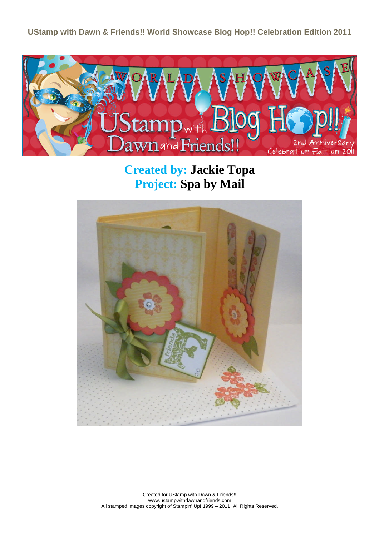**UStamp with Dawn & Friends!! World Showcase Blog Hop!! Celebration Edition 2011**



**Created by: Jackie Topa Project: Spa by Mail**



Created for UStamp with Dawn & Friends!! www.ustampwithdawnandfriends.com All stamped images copyright of Stampin' Up! 1999 – 2011. All Rights Reserved.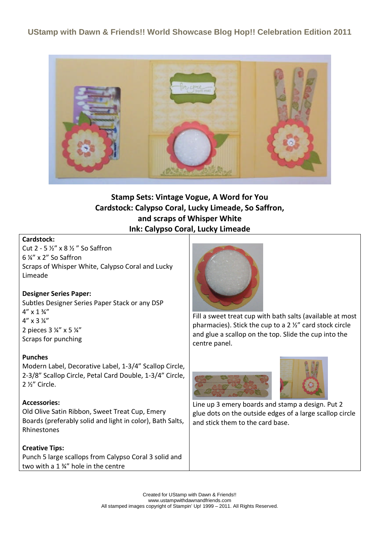**UStamp with Dawn & Friends!! World Showcase Blog Hop!! Celebration Edition 2011**



# **Stamp Sets: Vintage Vogue, A Word for You Cardstock: Calypso Coral, Lucky Limeade, So Saffron, and scraps of Whisper White Ink: Calypso Coral, Lucky Limeade**

#### **Cardstock:**

Cut 2 - 5 ½" x 8 ½ " So Saffron 6 ¼" x 2" So Saffron Scraps of Whisper White, Calypso Coral and Lucky Limeade

### **Designer Series Paper:**

Subtles Designer Series Paper Stack or any DSP  $4'' \times 1 \frac{3}{4}''$  $4'' \times 3 \frac{1}{4}''$ 2 pieces 3 ¼" x 5 ¼" Scraps for punching

#### **Punches**

Modern Label, Decorative Label, 1-3/4" Scallop Circle, 2-3/8" Scallop Circle, Petal Card Double, 1-3/4" Circle, 2 ½" Circle.

#### **Accessories:**

Old Olive Satin Ribbon, Sweet Treat Cup, Emery Boards (preferably solid and light in color), Bath Salts, Rhinestones

#### **Creative Tips:**

Punch 5 large scallops from Calypso Coral 3 solid and two with a 1 ¾" hole in the centre



Fill a sweet treat cup with bath salts (available at most pharmacies). Stick the cup to a 2 ½" card stock circle and glue a scallop on the top. Slide the cup into the centre panel.





Line up 3 emery boards and stamp a design. Put 2 glue dots on the outside edges of a large scallop circle and stick them to the card base.